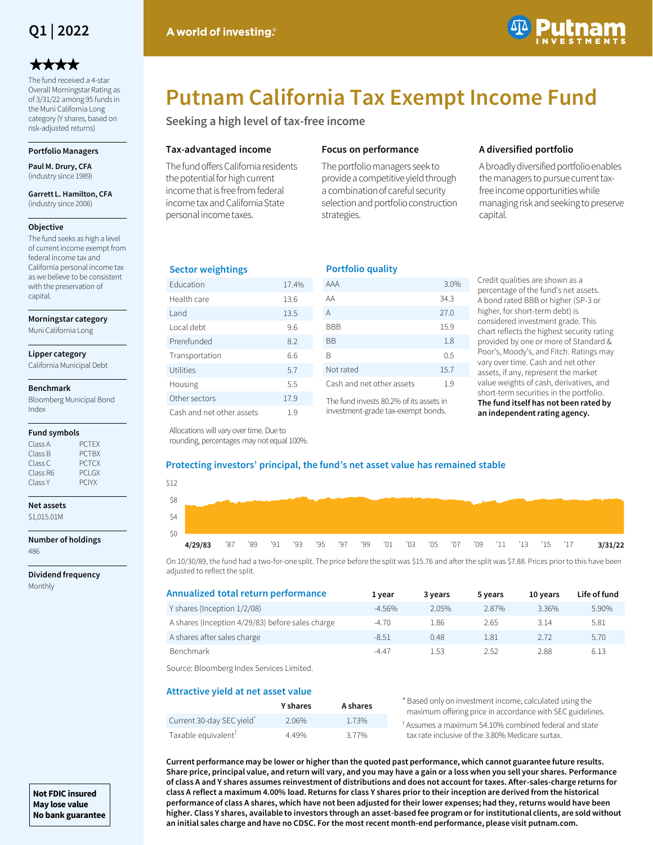

# \*\*\*\*

The fund received a 4-star Overall Morningstar Rating as of 3/31/22 among 95 funds in the Muni California Long category (Y shares, based on risk-adjusted returns)

## **Portfolio Managers**

**Paul M. Drury, CFA**  (industry since 1989)

**Garrett L. Hamilton, CFA**  (industry since 2006)

#### **Objective**

The fund seeks as high a level of current income exempt from federal income tax and California personal income tax as we believe to be consistent with the preservation of capital.

#### **Morningstar category**

Muni California Long

#### **Lipper category**

California Municipal Debt

#### **Benchmark**

Bloomberg Municipal Bond Index

#### **Fund symbols**

| Class A  | <b>PCTEX</b>  |
|----------|---------------|
| Class B  | <b>PCTBX</b>  |
| Class C  | <b>PCTCX</b>  |
| Class R6 | <b>PCI GX</b> |
| Class Y  | <b>PCIYX</b>  |

# **Net assets**

\$1,015.01M

**Number of holdings** 486

**Dividend frequency** Monthly



# **Putnam California Tax Exempt Income Fund**

**Seeking a high level of tax-free income**

## **Tax-advantaged income**

The fund offers California residents the potential for high current income that is free from federal income tax and California State personal income taxes.

# **Focus on performance**

The portfolio managers seek to provide a competitive yield through a combination of careful security selection and portfolio construction strategies.

# **A diversified portfolio**

A broadly diversified portfolio enables the managers to pursue current taxfree income opportunities while managing risk and seeking to preserve capital.

## **Sector weightings**

| <b>Education</b>          | 17.4% |
|---------------------------|-------|
| Health care               | 13.6  |
| I and                     | 13.5  |
| Local debt                | 9.6   |
| Prerefunded               | 8.2   |
| Transportation            | 6.6   |
| Utilities                 | 5.7   |
| Housing                   | 5.5   |
| Other sectors             | 17.9  |
| Cash and net other assets | 1.9   |

| <b>Portfolio quality</b>  |      |  |  |  |  |  |  |  |
|---------------------------|------|--|--|--|--|--|--|--|
| AAA                       | 3.0% |  |  |  |  |  |  |  |
| AA                        | 34.3 |  |  |  |  |  |  |  |
| A                         | 27 O |  |  |  |  |  |  |  |
| <b>BBB</b>                | 15.9 |  |  |  |  |  |  |  |
| ВB                        | 1.8  |  |  |  |  |  |  |  |
| R                         | 0.5  |  |  |  |  |  |  |  |
| Not rated                 | 15.7 |  |  |  |  |  |  |  |
| Cash and net other assets | 19   |  |  |  |  |  |  |  |

The fund invests 80.2% of its assets in investment-grade tax-exempt bonds.

Credit qualities are shown as a percentage of the fund's net assets. A bond rated BBB or higher (SP-3 or higher, for short-term debt) is considered investment grade. This chart reflects the highest security rating provided by one or more of Standard & Poor's, Moody's, and Fitch. Ratings may vary over time. Cash and net other assets, if any, represent the market value weights of cash, derivatives, and short-term securities in the portfolio. **The fund itself has not been rated by an independent rating agency.**

Allocations will vary over time. Due to rounding, percentages may not equal 100%.

## **Protecting investors' principal, the fund's net asset value has remained stable**

| \$12 |         |         |  |                                                                      |  |  |  |  |  |  |         |
|------|---------|---------|--|----------------------------------------------------------------------|--|--|--|--|--|--|---------|
| \$8  |         |         |  |                                                                      |  |  |  |  |  |  |         |
| \$4  |         |         |  |                                                                      |  |  |  |  |  |  |         |
| \$0  |         |         |  |                                                                      |  |  |  |  |  |  |         |
|      | 4/29/83 | '87 '89 |  | 91  '93  '95  '97  '99  '01  '03  '05  '07  '09  '11  '13  '15  '17' |  |  |  |  |  |  | 3/31/22 |

On 10/30/89, the fund had a two-for-one split. The price before the split was \$15.76 and after the split was \$7.88. Prices prior to this have been adjusted to reflect the split.

| Annualized total return performance              | 1 vear   | 3 years | 5 years | 10 years | Life of fund |
|--------------------------------------------------|----------|---------|---------|----------|--------------|
| Y shares (Inception 1/2/08)                      | $-4.56%$ | 2.05%   | 2.87%   | 3.36%    | 5.90%        |
| A shares (Inception 4/29/83) before sales charge | $-4.70$  | 1.86    | 2.65    | 3.14     | 5.81         |
| A shares after sales charge                      | $-8.51$  | 0.48    | 1.81    | 2.72     | 5.70         |
| Benchmark                                        | $-4.47$  | 1.53    | 2.52    | 2.88     | 6.13         |

Source: Bloomberg Index Services Limited.

# **Attractive yield at net asset value**

|                                       | <b>Y</b> shares | A shares |    |
|---------------------------------------|-----------------|----------|----|
| Current 30-day SEC yield <sup>*</sup> | 2.06%           | 1.73%    | ŤΔ |
| Taxable equivalent <sup>T</sup>       | 4.49%           | 3.77%    |    |

Based only on investment income, calculated using the maximum offering price in accordance with SEC guidelines.

Assumes a maximum 54.10% combined federal and state tax rate inclusive of the 3.80% Medicare surtax.

**Current performance may be lower or higher than the quoted past performance, which cannot guarantee future results. Share price, principal value, and return will vary, and you may have a gain or a loss when you sell your shares. Performance of class A and Y shares assumes reinvestment of distributions and does not account for taxes. After-sales-charge returns for class A reflect a maximum 4.00% load. Returns for class Y shares prior to their inception are derived from the historical performance of class A shares, which have not been adjusted for their lower expenses; had they, returns would have been higher. Class Y shares, available to investors through an asset-based fee program or for institutional clients, are sold without an initial sales charge and have no CDSC. For the most recent month-end performance, please visit putnam.com.**